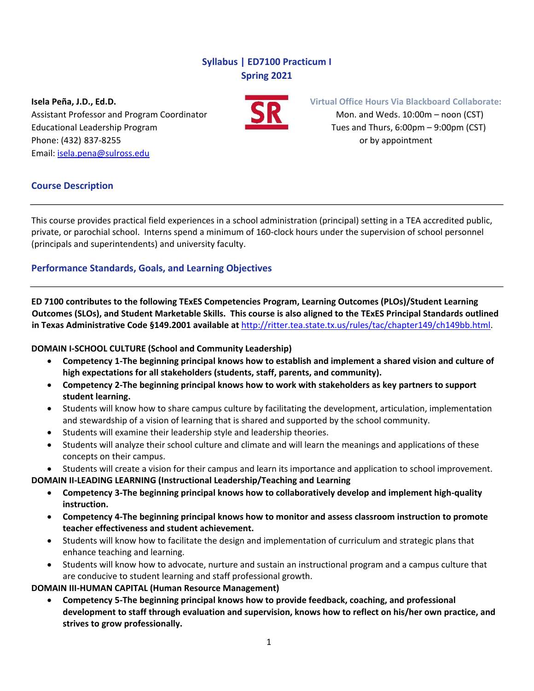# **Syllabus | ED7100 Practicum I Spring 2021**

Assistant Professor and Program Coordinator Mon. and Weds. 10:00m – noon (CST) Educational Leadership Program Tues and Thurs, 6:00pm – 9:00pm (CST) Phone: (432) 837-8255 **by appointment** Email: [isela.pena@sulross.edu](mailto:isela.pena@sulross.edu)



**Isela Peña, J.D., Ed.D. Virtual Office Hours Via Blackboard Collaborate:**

# **Course Description**

This course provides practical field experiences in a school administration (principal) setting in a TEA accredited public, private, or parochial school. Interns spend a minimum of 160-clock hours under the supervision of school personnel (principals and superintendents) and university faculty.

# **Performance Standards, Goals, and Learning Objectives**

**ED 7100 contributes to the following TExES Competencies Program, Learning Outcomes (PLOs)/Student Learning Outcomes (SLOs), and Student Marketable Skills. This course is also aligned to the TExES Principal Standards outlined in Texas Administrative Code §149.2001 available at** [http://ritter.tea.state.tx.us/rules/tac/chapter149/ch149bb.html.](http://ritter.tea.state.tx.us/rules/tac/chapter149/ch149bb.html)

### **DOMAIN I-SCHOOL CULTURE (School and Community Leadership)**

- **Competency 1-The beginning principal knows how to establish and implement a shared vision and culture of high expectations for all stakeholders (students, staff, parents, and community).**
- **Competency 2-The beginning principal knows how to work with stakeholders as key partners to support student learning.**
- Students will know how to share campus culture by facilitating the development, articulation, implementation and stewardship of a vision of learning that is shared and supported by the school community.
- Students will examine their leadership style and leadership theories.
- Students will analyze their school culture and climate and will learn the meanings and applications of these concepts on their campus.
- Students will create a vision for their campus and learn its importance and application to school improvement.

**DOMAIN II-LEADING LEARNING (Instructional Leadership/Teaching and Learning**

- **Competency 3-The beginning principal knows how to collaboratively develop and implement high-quality instruction.**
- **Competency 4-The beginning principal knows how to monitor and assess classroom instruction to promote teacher effectiveness and student achievement.**
- Students will know how to facilitate the design and implementation of curriculum and strategic plans that enhance teaching and learning.
- Students will know how to advocate, nurture and sustain an instructional program and a campus culture that are conducive to student learning and staff professional growth.

**DOMAIN III-HUMAN CAPITAL (Human Resource Management)**

• **Competency 5-The beginning principal knows how to provide feedback, coaching, and professional development to staff through evaluation and supervision, knows how to reflect on his/her own practice, and strives to grow professionally.**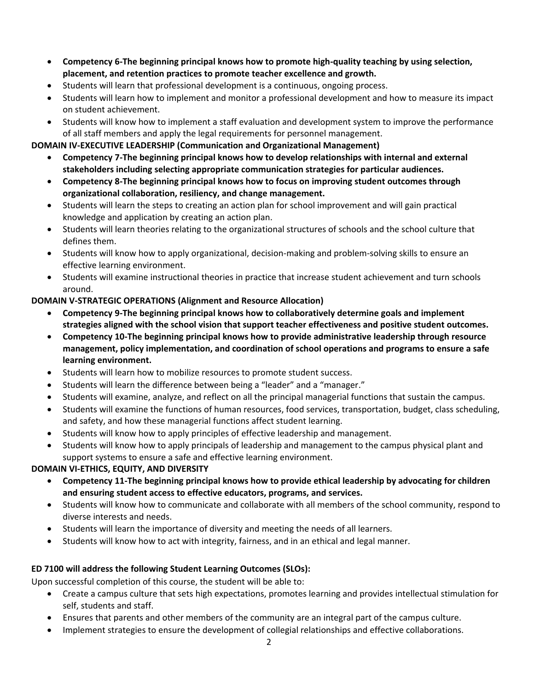- **Competency 6-The beginning principal knows how to promote high-quality teaching by using selection, placement, and retention practices to promote teacher excellence and growth.**
- Students will learn that professional development is a continuous, ongoing process.
- Students will learn how to implement and monitor a professional development and how to measure its impact on student achievement.
- Students will know how to implement a staff evaluation and development system to improve the performance of all staff members and apply the legal requirements for personnel management.

## **DOMAIN IV-EXECUTIVE LEADERSHIP (Communication and Organizational Management)**

- **Competency 7-The beginning principal knows how to develop relationships with internal and external stakeholders including selecting appropriate communication strategies for particular audiences.**
- **Competency 8-The beginning principal knows how to focus on improving student outcomes through organizational collaboration, resiliency, and change management.**
- Students will learn the steps to creating an action plan for school improvement and will gain practical knowledge and application by creating an action plan.
- Students will learn theories relating to the organizational structures of schools and the school culture that defines them.
- Students will know how to apply organizational, decision-making and problem-solving skills to ensure an effective learning environment.
- Students will examine instructional theories in practice that increase student achievement and turn schools around.

# **DOMAIN V-STRATEGIC OPERATIONS (Alignment and Resource Allocation)**

- **Competency 9-The beginning principal knows how to collaboratively determine goals and implement strategies aligned with the school vision that support teacher effectiveness and positive student outcomes.**
- **Competency 10-The beginning principal knows how to provide administrative leadership through resource management, policy implementation, and coordination of school operations and programs to ensure a safe learning environment.**
- Students will learn how to mobilize resources to promote student success.
- Students will learn the difference between being a "leader" and a "manager."
- Students will examine, analyze, and reflect on all the principal managerial functions that sustain the campus.
- Students will examine the functions of human resources, food services, transportation, budget, class scheduling, and safety, and how these managerial functions affect student learning.
- Students will know how to apply principles of effective leadership and management.
- Students will know how to apply principals of leadership and management to the campus physical plant and support systems to ensure a safe and effective learning environment.

### **DOMAIN VI-ETHICS, EQUITY, AND DIVERSITY**

- **Competency 11-The beginning principal knows how to provide ethical leadership by advocating for children and ensuring student access to effective educators, programs, and services.**
- Students will know how to communicate and collaborate with all members of the school community, respond to diverse interests and needs.
- Students will learn the importance of diversity and meeting the needs of all learners.
- Students will know how to act with integrity, fairness, and in an ethical and legal manner.

# **ED 7100 will address the following Student Learning Outcomes (SLOs):**

Upon successful completion of this course, the student will be able to:

- Create a campus culture that sets high expectations, promotes learning and provides intellectual stimulation for self, students and staff.
- Ensures that parents and other members of the community are an integral part of the campus culture.
- Implement strategies to ensure the development of collegial relationships and effective collaborations.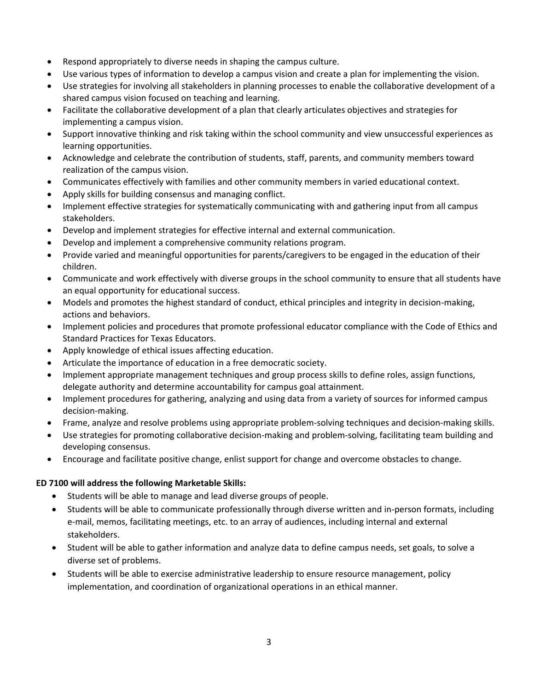- Respond appropriately to diverse needs in shaping the campus culture.
- Use various types of information to develop a campus vision and create a plan for implementing the vision.
- Use strategies for involving all stakeholders in planning processes to enable the collaborative development of a shared campus vision focused on teaching and learning.
- Facilitate the collaborative development of a plan that clearly articulates objectives and strategies for implementing a campus vision.
- Support innovative thinking and risk taking within the school community and view unsuccessful experiences as learning opportunities.
- Acknowledge and celebrate the contribution of students, staff, parents, and community members toward realization of the campus vision.
- Communicates effectively with families and other community members in varied educational context.
- Apply skills for building consensus and managing conflict.
- Implement effective strategies for systematically communicating with and gathering input from all campus stakeholders.
- Develop and implement strategies for effective internal and external communication.
- Develop and implement a comprehensive community relations program.
- Provide varied and meaningful opportunities for parents/caregivers to be engaged in the education of their children.
- Communicate and work effectively with diverse groups in the school community to ensure that all students have an equal opportunity for educational success.
- Models and promotes the highest standard of conduct, ethical principles and integrity in decision-making, actions and behaviors.
- Implement policies and procedures that promote professional educator compliance with the Code of Ethics and Standard Practices for Texas Educators.
- Apply knowledge of ethical issues affecting education.
- Articulate the importance of education in a free democratic society.
- Implement appropriate management techniques and group process skills to define roles, assign functions, delegate authority and determine accountability for campus goal attainment.
- Implement procedures for gathering, analyzing and using data from a variety of sources for informed campus decision-making.
- Frame, analyze and resolve problems using appropriate problem-solving techniques and decision-making skills.
- Use strategies for promoting collaborative decision-making and problem-solving, facilitating team building and developing consensus.
- Encourage and facilitate positive change, enlist support for change and overcome obstacles to change.

### **ED 7100 will address the following Marketable Skills:**

- Students will be able to manage and lead diverse groups of people.
- Students will be able to communicate professionally through diverse written and in-person formats, including e-mail, memos, facilitating meetings, etc. to an array of audiences, including internal and external stakeholders.
- Student will be able to gather information and analyze data to define campus needs, set goals, to solve a diverse set of problems.
- Students will be able to exercise administrative leadership to ensure resource management, policy implementation, and coordination of organizational operations in an ethical manner.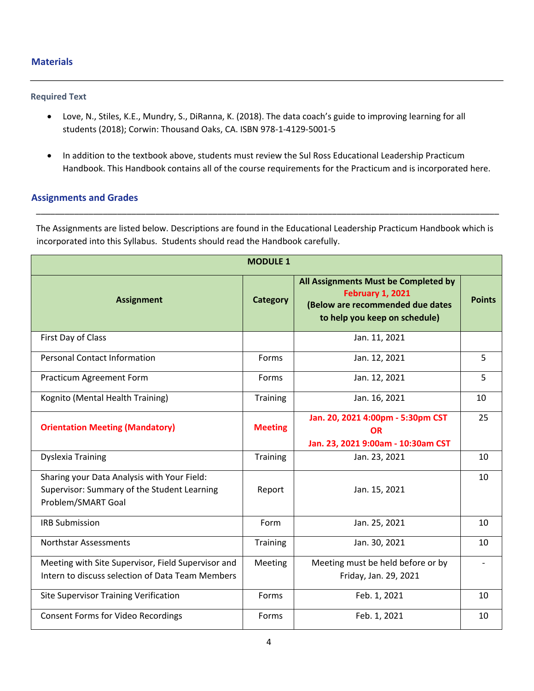#### **Materials**

#### **Required Text**

- Love, N., Stiles, K.E., Mundry, S., DiRanna, K. (2018). The data coach's guide to improving learning for all students (2018); Corwin: Thousand Oaks, CA. ISBN 978-1-4129-5001-5
- In addition to the textbook above, students must review the Sul Ross Educational Leadership Practicum Handbook. This Handbook contains all of the course requirements for the Practicum and is incorporated here.

#### **Assignments and Grades**

The Assignments are listed below. Descriptions are found in the Educational Leadership Practicum Handbook which is incorporated into this Syllabus. Students should read the Handbook carefully.

\_\_\_\_\_\_\_\_\_\_\_\_\_\_\_\_\_\_\_\_\_\_\_\_\_\_\_\_\_\_\_\_\_\_\_\_\_\_\_\_\_\_\_\_\_\_\_\_\_\_\_\_\_\_\_\_\_\_\_\_\_\_\_\_\_\_\_\_\_\_\_\_\_\_\_\_\_\_\_\_\_\_\_\_\_\_\_\_\_\_\_\_\_\_\_\_\_

| <b>MODULE 1</b>                                                                                                  |                 |                                                                                                                                      |               |  |
|------------------------------------------------------------------------------------------------------------------|-----------------|--------------------------------------------------------------------------------------------------------------------------------------|---------------|--|
| <b>Assignment</b>                                                                                                | <b>Category</b> | All Assignments Must be Completed by<br><b>February 1, 2021</b><br>(Below are recommended due dates<br>to help you keep on schedule) | <b>Points</b> |  |
| First Day of Class                                                                                               |                 | Jan. 11, 2021                                                                                                                        |               |  |
| <b>Personal Contact Information</b>                                                                              | Forms           | Jan. 12, 2021                                                                                                                        | 5             |  |
| Practicum Agreement Form                                                                                         | Forms           | Jan. 12, 2021                                                                                                                        | 5             |  |
| Kognito (Mental Health Training)                                                                                 | <b>Training</b> | Jan. 16, 2021                                                                                                                        | 10            |  |
| <b>Orientation Meeting (Mandatory)</b>                                                                           | <b>Meeting</b>  | Jan. 20, 2021 4:00pm - 5:30pm CST<br><b>OR</b><br>Jan. 23, 2021 9:00am - 10:30am CST                                                 | 25            |  |
| <b>Dyslexia Training</b>                                                                                         | Training        | Jan. 23, 2021                                                                                                                        | 10            |  |
| Sharing your Data Analysis with Your Field:<br>Supervisor: Summary of the Student Learning<br>Problem/SMART Goal | Report          | Jan. 15, 2021                                                                                                                        | 10            |  |
| <b>IRB Submission</b>                                                                                            | Form            | Jan. 25, 2021                                                                                                                        | 10            |  |
| Northstar Assessments                                                                                            | Training        | Jan. 30, 2021                                                                                                                        | 10            |  |
| Meeting with Site Supervisor, Field Supervisor and<br>Intern to discuss selection of Data Team Members           | Meeting         | Meeting must be held before or by<br>Friday, Jan. 29, 2021                                                                           |               |  |
| <b>Site Supervisor Training Verification</b>                                                                     | Forms           | Feb. 1, 2021                                                                                                                         | 10            |  |
| <b>Consent Forms for Video Recordings</b>                                                                        | Forms           | Feb. 1, 2021                                                                                                                         | 10            |  |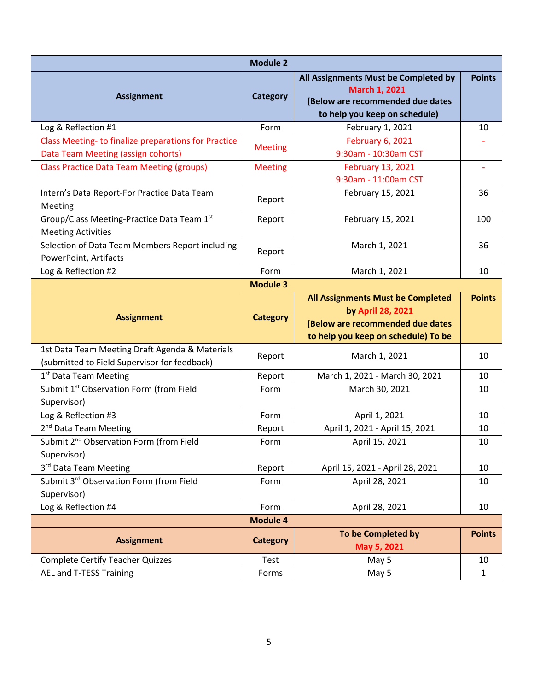| <b>Module 2</b>                                                                                |                                    |                                                                                                                                   |               |  |
|------------------------------------------------------------------------------------------------|------------------------------------|-----------------------------------------------------------------------------------------------------------------------------------|---------------|--|
| <b>Assignment</b>                                                                              | <b>Category</b>                    | All Assignments Must be Completed by<br><b>March 1, 2021</b><br>(Below are recommended due dates<br>to help you keep on schedule) | <b>Points</b> |  |
| Log & Reflection #1                                                                            | Form                               | February 1, 2021                                                                                                                  | 10            |  |
| Class Meeting-to finalize preparations for Practice                                            |                                    | February 6, 2021                                                                                                                  |               |  |
| Data Team Meeting (assign cohorts)                                                             | <b>Meeting</b>                     | 9:30am - 10:30am CST                                                                                                              |               |  |
| <b>Class Practice Data Team Meeting (groups)</b>                                               | <b>Meeting</b>                     | <b>February 13, 2021</b>                                                                                                          |               |  |
|                                                                                                |                                    | 9:30am - 11:00am CST                                                                                                              |               |  |
| Intern's Data Report-For Practice Data Team<br>Meeting                                         | Report                             | February 15, 2021                                                                                                                 | 36            |  |
| Group/Class Meeting-Practice Data Team 1st<br><b>Meeting Activities</b>                        | Report                             | February 15, 2021                                                                                                                 | 100           |  |
| Selection of Data Team Members Report including<br>PowerPoint, Artifacts                       | Report                             | March 1, 2021                                                                                                                     | 36            |  |
| Log & Reflection #2                                                                            | Form                               | March 1, 2021                                                                                                                     | 10            |  |
|                                                                                                | <b>Module 3</b>                    |                                                                                                                                   |               |  |
| <b>Assignment</b>                                                                              | <b>Category</b>                    | All Assignments Must be Completed<br>by April 28, 2021<br>(Below are recommended due dates                                        | <b>Points</b> |  |
|                                                                                                |                                    |                                                                                                                                   |               |  |
|                                                                                                |                                    | to help you keep on schedule) To be                                                                                               |               |  |
| 1st Data Team Meeting Draft Agenda & Materials<br>(submitted to Field Supervisor for feedback) | Report                             | March 1, 2021                                                                                                                     | 10            |  |
| 1 <sup>st</sup> Data Team Meeting                                                              | Report                             | March 1, 2021 - March 30, 2021                                                                                                    | 10            |  |
| Submit 1 <sup>st</sup> Observation Form (from Field<br>Supervisor)                             | Form                               | March 30, 2021                                                                                                                    | 10            |  |
| Log & Reflection #3                                                                            | Form                               | April 1, 2021                                                                                                                     | 10            |  |
| 2 <sup>nd</sup> Data Team Meeting                                                              | Report                             | April 1, 2021 - April 15, 2021                                                                                                    | 10            |  |
| Submit 2 <sup>nd</sup> Observation Form (from Field<br>Supervisor)                             | Form                               | April 15, 2021                                                                                                                    | 10            |  |
| 3rd Data Team Meeting                                                                          | Report                             | April 15, 2021 - April 28, 2021                                                                                                   | 10            |  |
| Submit 3rd Observation Form (from Field                                                        | Form                               | April 28, 2021                                                                                                                    | 10            |  |
| Supervisor)                                                                                    |                                    |                                                                                                                                   |               |  |
| Log & Reflection #4                                                                            | Form                               | April 28, 2021                                                                                                                    | 10            |  |
| <b>Assignment</b>                                                                              | <b>Module 4</b><br><b>Category</b> | To be Completed by                                                                                                                | <b>Points</b> |  |
| <b>Complete Certify Teacher Quizzes</b>                                                        | Test                               | May 5, 2021<br>May 5                                                                                                              | 10            |  |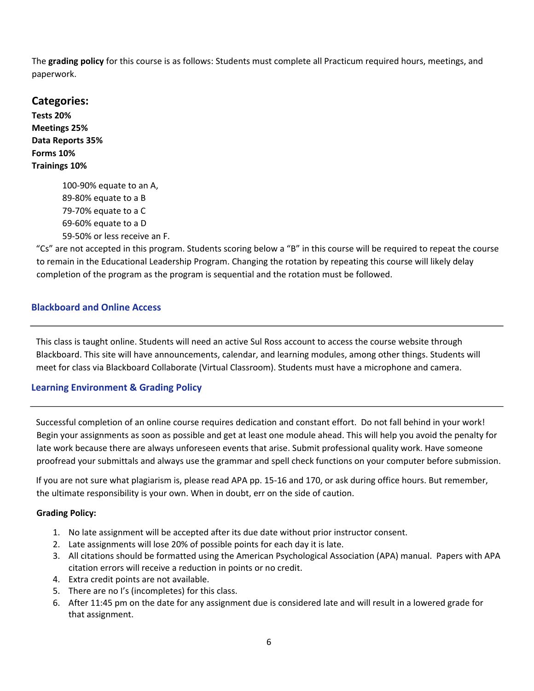The **grading policy** for this course is as follows: Students must complete all Practicum required hours, meetings, and paperwork.

**Categories: Tests 20% Meetings 25% Data Reports 35% Forms 10% Trainings 10%**

100-90% equate to an A, 89-80% equate to a B 79-70% equate to a C 69-60% equate to a D 59-50% or less receive an F.

"Cs" are not accepted in this program. Students scoring below a "B" in this course will be required to repeat the course to remain in the Educational Leadership Program. Changing the rotation by repeating this course will likely delay completion of the program as the program is sequential and the rotation must be followed.

# **Blackboard and Online Access**

This class is taught online. Students will need an active Sul Ross account to access the course website through Blackboard. This site will have announcements, calendar, and learning modules, among other things. Students will meet for class via Blackboard Collaborate (Virtual Classroom). Students must have a microphone and camera.

# **Learning Environment & Grading Policy**

Successful completion of an online course requires dedication and constant effort. Do not fall behind in your work! Begin your assignments as soon as possible and get at least one module ahead. This will help you avoid the penalty for late work because there are always unforeseen events that arise. Submit professional quality work. Have someone proofread your submittals and always use the grammar and spell check functions on your computer before submission.

If you are not sure what plagiarism is, please read APA pp. 15-16 and 170, or ask during office hours. But remember, the ultimate responsibility is your own. When in doubt, err on the side of caution.

### **Grading Policy:**

- 1. No late assignment will be accepted after its due date without prior instructor consent.
- 2. Late assignments will lose 20% of possible points for each day it is late.
- 3. All citations should be formatted using the American Psychological Association (APA) manual. Papers with APA citation errors will receive a reduction in points or no credit.
- 4. Extra credit points are not available.
- 5. There are no I's (incompletes) for this class.
- 6. After 11:45 pm on the date for any assignment due is considered late and will result in a lowered grade for that assignment.